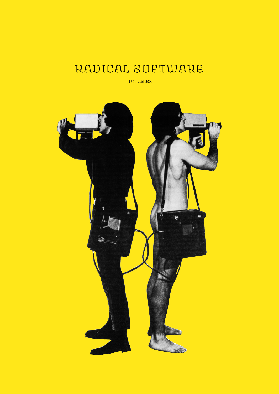## Radical Software

Jon Cates

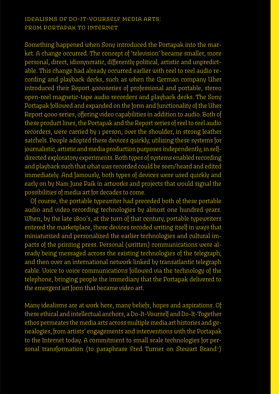### Idealisms of Do-It-Yourself Media Arts: From Portapak to Internet

Something happened when Sony introduced the Portapak into the market. A change occurred. The concept of 'television' became smaller, more personal, direct, idiosyncratic, differently political, artistic and unpredictable. This change had already occurred earlier with reel to reel audio recording and playback decks, such as when the German company Uher introduced their Report 4000series of professional and portable, stereo open-reel magnetic-tape audio recorders and playback decks. The Sony Portapak followed and expanded on the form and functionality of the Uher Report 4000 series, offering video capabilities in addition to audio. Both of these product lines, the Portapak and the Report series of reel to reel audio recorders, were carried by 1 person, over the shoulder, in strong leather satchels. People adopted these devices quickly, utilizing these systems for journalistic, artistic and media production purposes independently, in selfdirected exploratory experiments. Both types of systems enabled recording and playback such that what was recorded could be seen/heard and edited immediately. And famously, both types of devices were used quickly and early on by Nam June Paik in artworks and projects that would signal the possibilities of media art for decades to come.

Of course, the portable typewriter had preceded both of these portable audio and video recording technologies by almost one hundred years. When, by the late 1800's, at the turn of that century, portable typewriters entered the marketplace, these devices recoded writing itself in ways that miniaturized and personalized the earlier technologies and cultural impacts of the printing press. Personal (written) communications were already being messaged across the existing technologies of the telegraph, and then over an international network linked by transatlantic telegraph cable. Voice to voice communications followed via the technology of the telephone, bringing people the immediacy that the Portapak delivered to the emergent art form that became video art.

Many idealisms are at work here, many beliefs, hopes and aspirations. Of these ethical and intellectual anchors, a Do-It-Yourself and Do-It-Together ethos permeates the media arts across multiple media art histories and genealogies, from artists' engagements and interventions with the Portapak to the Internet today. A commitment to small scale technologies for personal transformation (to paraphrase Fred Turner on Stewart Brand<sup>1</sup>)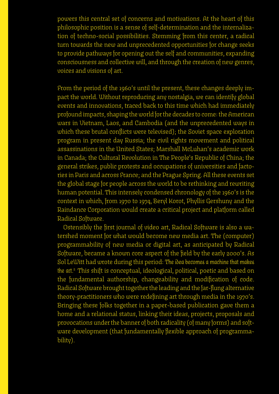powers this central set of concerns and motivations. At the heart of this philosophic position is a sense of self-determination and the internalization of techno-social possibilities. Stemming from this center, a radical turn towards the new and unprecedented opportunities for change seeks to provide pathways for opening out the self and communities, expanding consciousness and collective will, and through the creation of new genres, voices and visions of art.

From the period of the 1960's until the present, these changes deeply impact the world. Without reproducing any nostalgia, we can identify global events and innovations, traced back to this time which had immediately profound impacts, shaping the world for the decades to come: the American wars in Vietnam, Laos, and Cambodia (and the unprecedented ways in which these brutal conflicts were televised); the Soviet space exploration program in present day Russia; the civil rights movement and political assassinations in the United States; Marshall McLuhan's academic work in Canada; the Cultural Revolution in The People's Republic of China; the general strikes, public protests and occupations of universities and factories in Paris and across France; and the Prague Spring. All these events set the global stage for people across the world to be rethinking and rewriting human potential. This intensely condensed chronology of the 1960's is the context in which, from 1970 to 1974, Beryl Korot, Phyllis Gershuny and the Raindance Corporation would create a critical project and platform called Radical Software.

Ostensibly the first journal of video art, Radical Software is also a watershed moment for what would become new media art. The (computer) programmability of new media or digital art, as anticipated by Radical Software, became a known core aspect of the field by the early 2000's. As Sol LeWitt had wrote during this period: *The idea becomes a machine that makes the art.*2 This shift is conceptual, ideological, political, poetic and based on the fundamental authorship, changeability and modification of code. Radical Software brought together the leading and the far-flung alternative theory-practitioners who were redefining art through media in the 1970's. Bringing these folks together in a paper-based publication gave them a home and a relational status, linking their ideas, projects, proposals and provocations under the banner of both radicality (of many forms) and software development (that fundamentally flexible approach of programmability).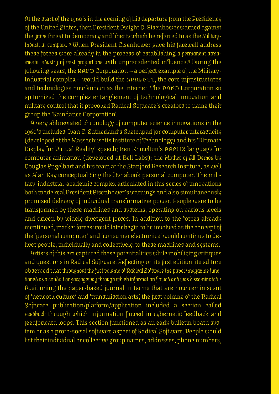At the start of the 1960's in the evening of his departure from the Presidency of the United States, then President Dwight D. Eisenhower warned against the *grave* threat to democracy and liberty which he referred to as the *Military-Industrial complex*. 3 When President Eisenhower gave his farewell address these forces were already in the process of establishing *a permanent armaments industry of vast proportions* with unprecedented influence.4 During the following years, the RAND Corporation — a perfect example of the Military-Industrial complex — would build the ARAPNET, the core infrastructures and technologies now known as the Internet. The RAND Corporation so epitomized the complex entanglement of technological innovation and military control that it provoked Radical Software's creators to name their group the 'Raindance Corporation'.

A very abbreviated chronology of computer science innovations in the 1960's includes: Ivan E. Sutherland's Sketchpad for computer interactivity (developed at the Massachusetts Institute of Technology) and his 'Ultimate Display for Virtual Reality' speech; Ken Knowlton's BEFLIX language for computer animation (developed at Bell Labs); the *Mother of All Demos* by Douglas Engelbart and his team at the Stanford Research Institute; as well as Alan Kay conceptualizing the Dynabook personal computer. The military-industrial-academic complex articulated in this series of innovations both made real President Eisenhower's warnings and also simultaneously promised delivery of individual transformative power. People were to be transformed by these machines and systems, operating on various levels and driven by widely divergent forces. In addition to the forces already mentioned, market forces would later begin to be involved as the concept of the 'personal computer' and 'consumer electronics' would continue to deliver people, individually and collectively, to these machines and systems.

Artists of this era captured these potentialities while mobilizing critiques and questions in Radical Software. Reflecting on its first edition, its editors observed that *throughout the first volume of Radical Software the paper/magazine functioned as a conduit or passageway through which information flowed and was disseminated*. 5 Positioning the paper-based journal in terms that are now reminiscent of 'network culture' and 'transmission arts', the first volume of the Radical Software publication/platform/application included a section called *Feedback* through which information flowed in cybernetic feedback and feedforward loops. This section functioned as an early bulletin board system or as a proto-social software aspect of Radical Software. People would list their individual or collective group names, addresses, phone numbers,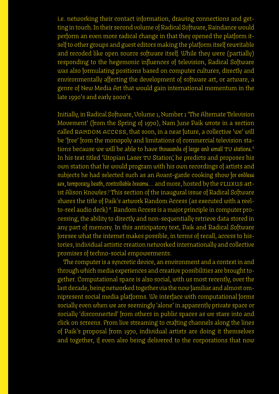i.e. networking their contact information, drawing connections and getting in touch. In their second volume of Radical Software, Raindance would perform an even more radical change in that they opened the platform itself to other groups and guest editors making the platform itself rewritable and recoded like open source software itself. While they were (partially) responding to the hegemonic influences of television, Radical Software was also formulating positions based on computer cultures, directly and environmentally affecting the development of software art, or artware, a genre of New Media Art that would gain international momentum in the late 1990's and early 2000's.

Initially, in Radical Software, Volume 1, Number 1 'The Alternate Television Movement' (from the Spring of 1970), Nam June Paik wrote in a section called RANDOM ACCESS, that soon, in a near future, a collective 'we' will be 'free' from the monopoly and limitations of commercial television stations because we will be able to have *thousands of large and small* TV *stations*. 6 In his text titled 'Utopian Laser TV Station', he predicts and proposes his own station that he would program with his own recordings of artists and subjects he had selected such as an Avant-garde cooking show *for endless sex, temporary death, controllable dreams…* and more, hosted by the FLUXUS artist Alison Knowles.? This section of the inaugural issue of Radical Software shares the title of Paik's artwork Random Access (as executed with a reelto-reel audio deck) <sup>8</sup>. Random Access is a major principle in computer processing, the ability to directly and non-sequentially retrieve data stored in any part of memory. In this anticipatory text, Paik and Radical Software foresee what the internet makes possible, in terms of recall, access to histories, individual artistic creation networked internationally and collective promises of techno-social empowerments.

The computer is a syncretic device, an environment and a context in and through which media experiences and creative possibilities are brought together. Computational space is also social, with us most recently, over the last decade, being networked together via the now familiar and almost omnipresent social media platforms. We interface with computational forms socially even when we are seemingly 'alone' in apparently private space or socially 'disconnected' from others in public spaces as we stare into and click on screens. From live streaming to crafting channels along the lines of Paik's proposal from 1970, individual artists are doing it themselves and together, if even also being delivered to the corporations that now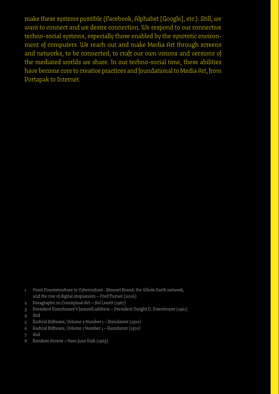make these systems possible (Facebook, Alphabet [Google], etc.). Still, we want to connect and we desire connection. We respond to our connective techno-social systems, especially those enabled by the syncretic environment of computers. We reach out and make Media Art through screens and networks, to be connected, to craft our own visions and versions of the mediated worlds we share. In our techno-social time, these abilities have become core to creative practices and foundational to Media Art, from Portapak to Internet.

- 2 Paragraphs on Conceptual Art Sol Lewitt (1967)
- 3 President Eisenhower's farewell address President Dwight D. Eisenhower (1961)
- 4 ibid
- 5 Radical Software, Volume 2 Number 1 Raindance (1972)
- 6 Radical Software, Volume 1 Number 1 Raindance (1970)
- 7 ibid
- 8 Random Access Nam June Paik (1963)

<sup>1</sup> From Counterculture to Cyberculture : Stewart Brand, the Whole Earth network, and the rise of digital utopianism — Fred Turner (2006)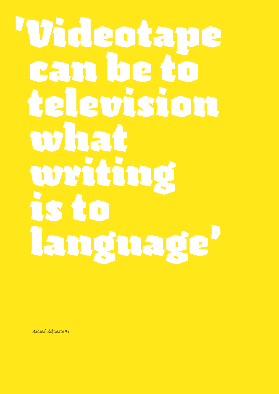# 'Videotape can be to **El emissio**  what writing is to language'

Radical Software #1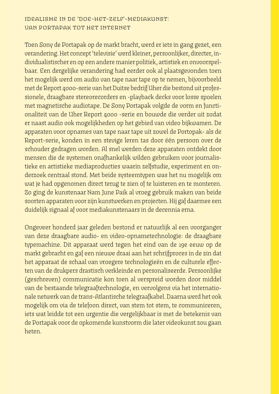### Idealisme in de 'doe-het-zelf'-mediakunst: van Portapak tot het internet

Toen Sony de Portapak op de markt bracht, werd er iets in gang gezet, een verandering. Het concept 'televisie' werd kleiner, persoonlijker, directer, individualistischer en op een andere manier politiek, artistiek en onvoorspelbaar. Een dergelijke verandering had eerder ook al plaatsgevonden toen het mogelijk werd om audio van tape naar tape op te nemen, bijvoorbeeld met de Report 4000-serie van het Duitse bedrijf Uher die bestond uit professionele, draagbare stereorecorders en -playback decks voor losse spoelen met magnetische audiotape. De Sony Portapak volgde de vorm en functionaliteit van de Uher Report 4000 -serie en bouwde die verder uit zodat er naast audio ook mogelijkheden op het gebied van video bijkwamen. De apparaten voor opnames van tape naar tape uit zowel de Portopak- als de Report-serie, konden in een stevige leren tas door één persoon over de schouder gedragen worden. Al snel werden deze apparaten ontdekt door mensen die de systemen onafhankelijk wilden gebruiken voor journalistieke en artistieke mediaproducties waarin zelfstudie, experiment en onderzoek centraal stond. Met beide systeemtypen was het nu mogelijk om wat je had opgenomen direct terug te zien of te luisteren en te monteren. Zo ging de kunstenaar Nam June Paik al vroeg gebruik maken van beide soorten apparaten voor zijn kunstwerken en projecten. Hij gaf daarmee een duidelijk signaal af voor mediakunstenaars in de decennia erna.

Ongeveer honderd jaar geleden bestond er natuurlijk al een voorganger van deze draagbare audio- en video-opnametechnologie: de draagbare typemachine. Dit apparaat werd tegen het eind van de 19e eeuw op de markt gebracht en gaf een nieuwe draai aan het schrijfproces in de zin dat het apparaat de schaal van vroegere technologieën en de culturele effecten van de drukpers drastisch verkleinde en personaliseerde. Persoonlijke (geschreven) communicatie kon toen al verspreid worden door middel van de bestaande telegraaftechnologie, en vervolgens via het internationale netwerk van de trans-Atlantische telegraafkabel. Daarna werd het ook mogelijk om via de telefoon direct, van stem tot stem, te communiceren, iets wat leidde tot een urgentie die vergelijkbaar is met de betekenis van de Portapak voor de opkomende kunstvorm die later videokunst zou gaan heten.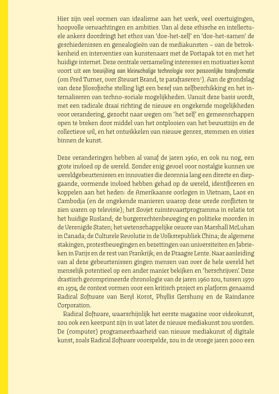Hier zijn veel vormen van idealisme aan het werk, veel overtuigingen, hoopvolle verwachtingen en ambities. Van al deze ethische en intellectuele ankers doordringt het ethos van 'doe-het-zelf' en 'doe-het-samen' de geschiedenissen en genealogieën van de mediakunsten – van de betrokkenheid en interventies van kunstenaars met de Portapak tot en met het huidige internet. Deze centrale verzameling interesses en motivaties komt voort uit *een toewijding aan kleinschalige technologie voor persoonlijke transformatie* (om Fred Turner, over Stewart Brand, te parafraseren<sup>1</sup>). Aan de grondslag van deze filosofische stelling ligt een besef van zelfbeschikking en het internaliseren van techno-sociale mogelijkheden. Vanuit deze basis wordt, met een radicale draai richting de nieuwe en ongekende mogelijkheden voor verandering, gezocht naar wegen om 'het zelf' en gemeenschappen open te breken door middel van het ontplooien van het bewustzijn en de collectieve wil, en het ontwikkelen van nieuwe genres, stemmen en visies binnen de kunst.

Deze veranderingen hebben al vanaf de jaren 1960, en ook nu nog, een grote invloed op de wereld. Zonder enig gevoel voor nostalgie kunnen we wereldgebeurtenissen en innovaties die decennia lang een directe en diepgaande, vormende invloed hebben gehad op de wereld, identificeren en koppelen aan het heden: de Amerikaanse oorlogen in Vietnam, Laos en Cambodja (en de ongekende manieren waarop deze wrede conflicten te zien waren op televisie); het Sovjet ruimtevaartprogramma in relatie tot het huidige Rusland; de burgerrechtenbeweging en politieke moorden in de Verenigde Staten; het wetenschappelijke oeuvre van Marshall McLuhan in Canada; de Culturele Revolutie in de Volksrepubliek China; de algemene stakingen, protestbewegingen en bezettingen van universiteiten en fabrieken in Parijs en de rest van Frankrijk; en de Praagse Lente. Naar aanleiding van al deze gebeurtenissen gingen mensen van over de hele wereld het menselijk potentieel op een ander manier bekijken en 'herschrijven'. Deze drastisch gecomprimeerde chronologie van de jaren 1960 zou, tussen 1970 en 1974, de context vormen voor een kritisch project en platform genaamd Radical Software van Beryl Korot, Phyllis Gershuny en de Raindance Corporation.

Radical Software, waarschijnlijk het eerste magazine voor videokunst, zou ook een keerpunt zijn in wat later de nieuwe mediakunst zou worden. De (computer) programeerbaarheid van nieuwe mediakunst of digitale kunst, zoals Radical Software voorspelde, zou in de vroege jaren 2000 een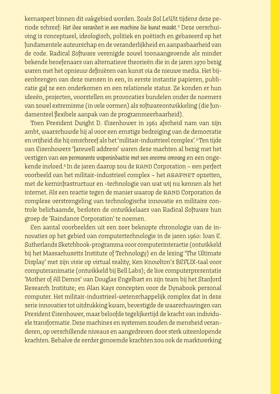kernaspect binnen dit vakgebied worden. Zoals Sol LeWit tijdens deze periode schreef: *Het idee verandert in een machine die kunst maakt.*<sup>2</sup> Deze verschuiving is conceptueel, ideologisch, politiek en poëtisch en gebaseerd op het fundamentele auteurschap en de veranderlijkheid en aanpasbaarheid van de code. Radical Software verenigde zowel toonaangevende als minder bekende beoefenaars van alternatieve theorieën die in de jaren 1970 bezig waren met het opnieuw definiëren van kunst via de nieuwe media. Het bijeenbrengen van deze mensen in een, in eerste instantie papieren, publicatie gaf ze een onderkomen en een relationele status. Ze konden er hun ideeën, projecten, voorstellen en provocaties bundelen onder de noemers van zowel extremisme (in vele vormen) als softwareontwikkeling (die fundamenteel flexibele aanpak van de programmeerbaarheid).

Toen President Dwight D. Eisenhower in 1961 afscheid nam van zijn ambt, waarschuwde hij al voor een ernstige bedreiging van de democratie en vrijheid die hij omschreef als het 'militair-industrieel complex'. 3 Ten tijde van Eisenhowers 'farewell address' waren deze machten al bezig met het vestigen van *een permanente wapenindustrie met een enorme omvang* en een ongekende invloed.4 In de jaren daarop zou de RAND Corporation – een perfect voorbeeld van het militair-industrieel complex – het ARAPNET opzetten, met de kerninfrastructuur en -technologie van wat wij nu kennen als het internet. Als een reactie tegen de manier waarop de RAND Corporation de complexe verstrengeling van technologische innovatie en militaire controle belichaamde, besloten de ontwikkelaars van Radical Software hun groep de 'Raindance Corporation' te noemen.

Een aantal voorbeelden uit een zeer beknopte chronologie van de innovaties op het gebied van computertechnologie in de jaren 1960: Ivan E. Sutherlands Sketchbook-programma voor computerinteractie (ontwikkeld bij het Massachusetts Institute of Technology) en de lezing 'The Ultimate Display' met zijn visie op virtual reality; Ken Knowlton's BEFLIX-taal voor computeranimatie (ontwikkeld bij Bell Labs); de live computerpresentatie 'Mother of All Demos' van Douglas Engelbart en zijn team bij het Stanford Research Institute; en Alan Kays concepten voor de Dynabook personal computer. Het militair-industrieel-wetenschappelijk complex dat in deze serie innovaties tot uitdrukking kwam, bevestigde de waarschuwingen van President Eisenhower, maar beloofde tegelijkertijd de kracht van individuele transformatie. Deze machines en systemen zouden de mensheid veranderen, op verschillende niveaus en aangedreven door sterk uiteenlopende krachten. Behalve de eerder genoemde krachten zou ook de marktwerking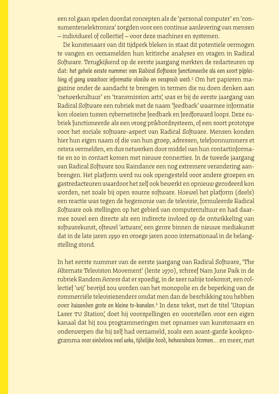een rol gaan spelen doordat concepten als de 'personal computer' en 'consumentenelektronica' zorgden voor een continue aanlevering van mensen — individueel of collectief — voor deze machines en systemen.

De kunstenaars van dit tijdperk bleken in staat dit potentiele vermogen te vangen en verzamelden hun kritische analyses en vragen in Radical Software. Terugkijkend op de eerste jaargang merkten de redacteuren op dat: *het gehele eerste nummer van Radical Software functioneerde als een soort pijpleiding of gang waardoor informatie vloeide en verspreid werd*. 5 Om het papieren magazine onder de aandacht te brengen in termen die nu doen denken aan 'netwerkcultuur' en 'transmission arts', was er bij de eerste jaargang van Radical Software een rubriek met de naam 'feedback' waarmee informatie kon vloeien tussen cybernetische feedback en feedforward loops. Deze rubriek functioneerde als een vroeg prikbordsysteem, of een soort prototype voor het sociale software-aspect van Radical Software. Mensen konden hier hun eigen naam of die van hun groep, adressen, telefoonnummers et cetera vermelden, en dus netwerken door middel van hun contactinformatie en zo in contact komen met nieuwe connecties. In de tweede jaargang van Radical Software zou Raindance een nog extremere verandering aanbrengen. Het platform werd nu ook opengesteld voor andere groepen en gastredacteuren waardoor het zelf ook bewerkt en opnieuw gecodeerd kon worden, net zoals bij open source software. Hoewel het platform (deels) een reactie was tegen de hegemonie van de televisie, formuleerde Radical Software ook stellingen op het gebied van computercultuur en had daarmee zowel een directe als een indirecte invloed op de ontwikkeling van softwarekunst, oftewel 'artware', een genre binnen de nieuwe mediakunst dat in de late jaren 1990 en vroege jaren 2000 internationaal in de belangstelling stond.

In het eerste nummer van de eerste jaargang van Radical Software, 'The Alternate Television Movement' (lente 1970), schreef Nam June Paik in de rubriek Random Access dat er spoedig, in de zeer nabije toekomst, een collectief 'wij' bevrijd zou worden van het monopolie en de beperking van de commerciële televisiezenders omdat men dan de beschikking zou hebben over duizenden grote en kleine tv-kanalen.<sup>6</sup> In deze tekst, met de titel 'Utopian Laser TV Station', doet hij voorspellingen en voorstellen voor een eigen kanaal dat hij zou programmeringen met opnames van kunstenaars en onderwerpen die hij zelf had verzameld, zoals een avant-garde kookprogramma *voor eindeloos veel seks, tijdelijke dood, beheersbare dromen…* en meer, met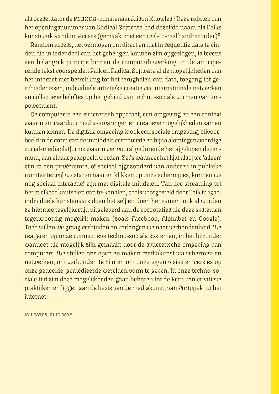als presentator de <code>eLuxus-k</code>unstenaar Alison Knowles.? Deze rubriek van het openingsnummer van Radical Software had dezelfde naam als Paiks kunstwerk Random Access (gemaakt met een reel-to-reel bandrecorder) 8 .

Random access, het vermogen om direct en niet in sequentie data te vinden die in ieder deel van het geheugen kunnen zijn opgeslagen, is tevens een belangrijk principe binnen de computerbewerking. In de anticiperende tekst voorspelden Paik en Radical Software al de mogelijkheden van het internet met betrekking tot het terughalen van data, toegang tot geschiedenissen, individuele artistieke creatie via internationale netwerken en collectieve beloftes op het gebied van techno-sociale vormen van empowerment.

De computer is een syncretisch apparaat, een omgeving en een context waarin en waardoor media-ervaringen en creatieve mogelijkheden samen kunnen komen. De digitale omgeving is ook een sociale omgeving, bijvoorbeeld in de vorm van de inmiddels vertrouwde en bijna alomtegenwoordige social-mediaplatforms waarin we, vooral gedurende het afgelopen decennium, aan elkaar gekoppeld worden. Zelfs wanneer het lijkt alsof we 'alleen' zijn in een privéruimte, of sociaal afgezonderd van anderen in publieke ruimtes terwijl we staren naar en klikken op onze schermpjes, kunnen we nog sociaal interactief zijn met digitale middelen. Van live streaming tot het in elkaar knutselen van tv-kanalen, zoals voorgesteld door Paik in 1970: individuele kunstenaars doen het zelf en doen het samen, ook al worden ze hiermee tegelijkertijd uitgeleverd aan de corporaties die deze systemen tegenwoordig mogelijk maken (zoals Facebook, Alphabet en Google). Toch willen we graag verbinden en verlangen we naar verbondenheid. We reageren op onze connectieve techno-sociale systemen, in het bijzonder wanneer die mogelijk zijn gemaakt door de syncretische omgeving van computers. We stellen ons open en maken mediakunst via schermen en netwerken, om verbonden te zijn en om onze eigen visies en versies op onze gedeelde, gemedieerde werelden vorm te geven. In onze techno-sociale tijd zijn deze mogelijkheden gaan behoren tot de kern van creatieve praktijken en liggen aan de basis van de mediakunst, van Portopak tot het internet.

JON CATES, JUNE 2018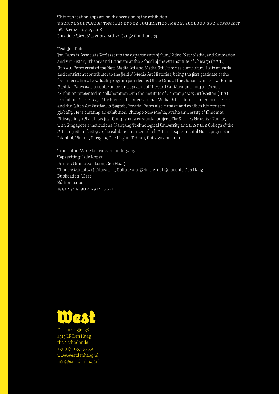This publication appears on the occasion of the exhibition: RADICAL SOFTWARE: THE RAINDANCE FOUNDATION, MEDIA ECOLOGY AND VIDEO ART 08.06.2018 — 09.09.2018 Location: West Museumkwartier, Lange Voorhout 34

#### Text: Jon Cates

Jon Cates is Associate Professor in the departments of Film, Video, New Media, and Animation and Art History, Theory and Criticism at the School of the Art Institute of Chicago (SAIC). At SAIC Cates created the New Media Art and Media Art Histories curriculum. He is an early and consistent contributor to the field of Media Art Histories, being the first graduate of the first international Graduate program founded by Oliver Grau at the Donau-Universität Krems Austria. Cates was recently an invited speaker at Harvard Art Museums for JODI's solo exhibition presented in collaboration with the Institute of Contemporary Art/Boston (ICA) exhibition *Art in the Age of the Internet*; the international Media Art Histories conference series; and the Glitch Art Festival in Zagreb, Croatia. Cates also curates and exhibits his projects globally. He is curating an exhibition, Chicago New Media, at The University of Illinois at Chicago in 2018 and has just Completed a curatorial project, *The Art of the Networked Practice*, with Singapore's institutions, Nanyang Technological University and LASALLE College of the Arts. In just the last year, he exhibited his own Glitch Art and experimental Noise projects in Istanbul, Vienna, Glasgow, The Hague, Tehran, Chicago and online.

Translator: Marie Louise Schoondergang Typesetting: Jelle Koper Printer: Oranje van Loon, Den Haag Thanks: Ministry of Education, Culture and Science and Gemeente Den Haag Publication: West Edition: 1.000 isbn: 978-90-79917-76-1



Groenewegje 136 2515 LR Den Haag the Netherlands +31 (0)70 392 53 59 www.westdenhaag.nl info@westdenhaag.nl